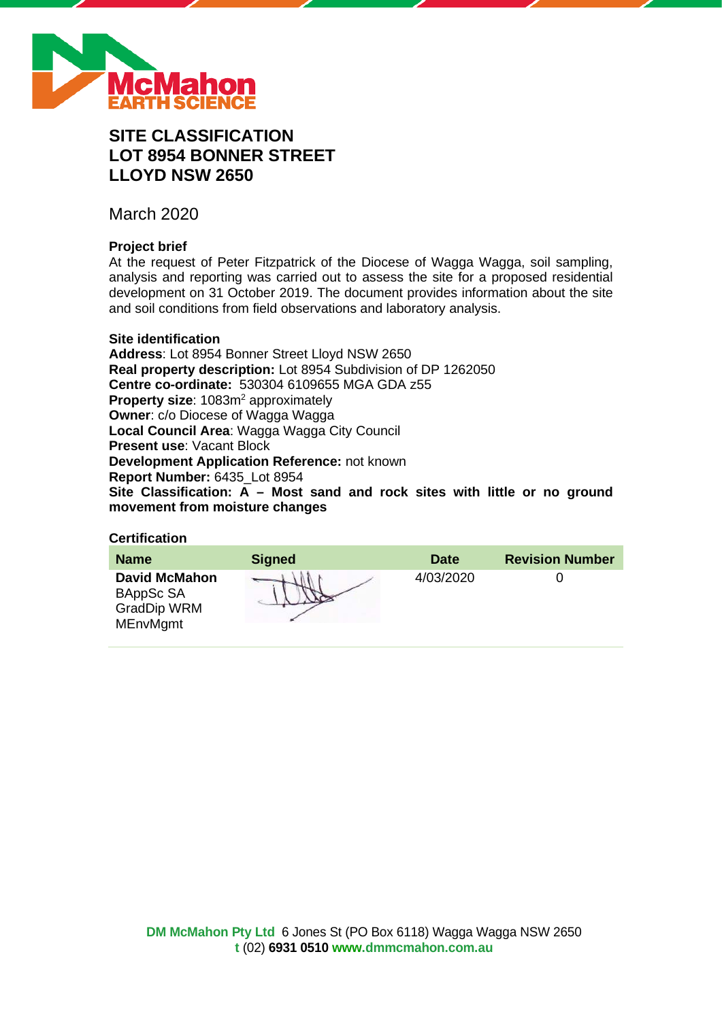

# **SITE CLASSIFICATION LOT 8954 BONNER STREET LLOYD NSW 2650**

March 2020

# **Project brief**

At the request of Peter Fitzpatrick of the Diocese of Wagga Wagga, soil sampling, analysis and reporting was carried out to assess the site for a proposed residential development on 31 October 2019. The document provides information about the site and soil conditions from field observations and laboratory analysis.

### **Site identification**

**Address**: Lot 8954 Bonner Street Lloyd NSW 2650 **Real property description:** Lot 8954 Subdivision of DP 1262050 **Centre co-ordinate:** 530304 6109655 MGA GDA z55 **Property size:** 1083m<sup>2</sup> approximately **Owner**: c/o Diocese of Wagga Wagga **Local Council Area**: Wagga Wagga City Council **Present use**: Vacant Block **Development Application Reference:** not known **Report Number:** 6435\_Lot 8954 **Site Classification: A – Most sand and rock sites with little or no ground movement from moisture changes**

# **Certification**

| <b>Name</b>                                                                | <b>Signed</b> | <b>Date</b> | <b>Revision Number</b> |
|----------------------------------------------------------------------------|---------------|-------------|------------------------|
| <b>David McMahon</b><br>BAppSc SA<br><b>GradDip WRM</b><br><b>MEnvMgmt</b> |               | 4/03/2020   |                        |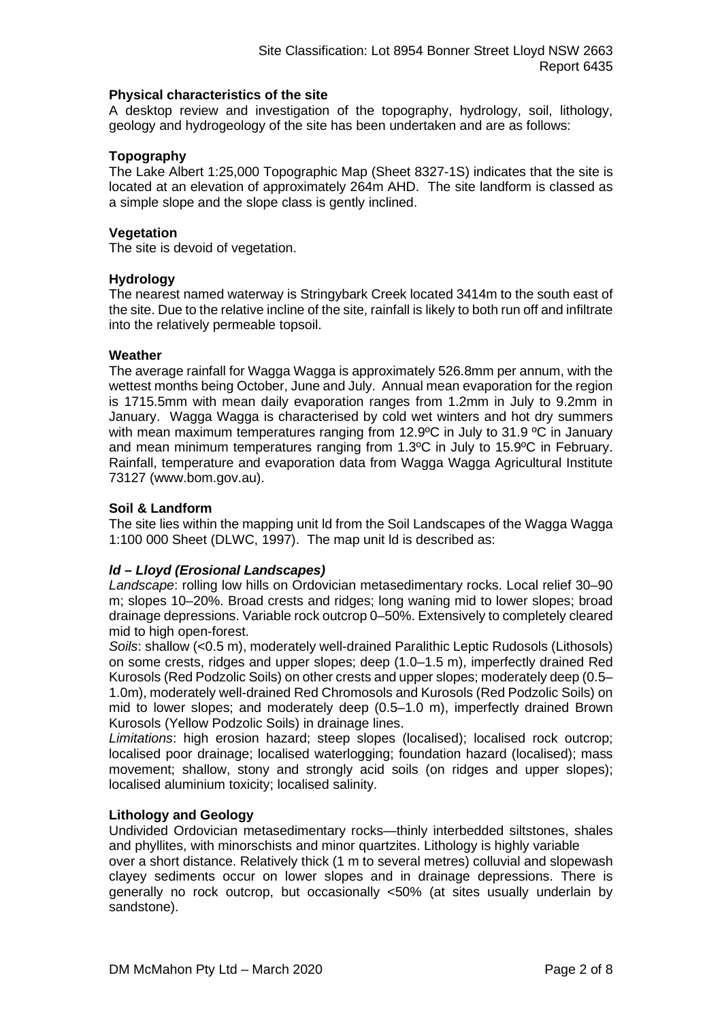### **Physical characteristics of the site**

A desktop review and investigation of the topography, hydrology, soil, lithology, geology and hydrogeology of the site has been undertaken and are as follows:

# **Topography**

The Lake Albert 1:25,000 Topographic Map (Sheet 8327-1S) indicates that the site is located at an elevation of approximately 264m AHD. The site landform is classed as a simple slope and the slope class is gently inclined.

### **Vegetation**

The site is devoid of vegetation.

### **Hydrology**

The nearest named waterway is Stringybark Creek located 3414m to the south east of the site. Due to the relative incline of the site, rainfall is likely to both run off and infiltrate into the relatively permeable topsoil.

### **Weather**

The average rainfall for Wagga Wagga is approximately 526.8mm per annum, with the wettest months being October, June and July. Annual mean evaporation for the region is 1715.5mm with mean daily evaporation ranges from 1.2mm in July to 9.2mm in January. Wagga Wagga is characterised by cold wet winters and hot dry summers with mean maximum temperatures ranging from 12.9°C in July to 31.9 °C in January and mean minimum temperatures ranging from 1.3ºC in July to 15.9ºC in February. Rainfall, temperature and evaporation data from Wagga Wagga Agricultural Institute 73127 (www.bom.gov.au).

### **Soil & Landform**

The site lies within the mapping unit ld from the Soil Landscapes of the Wagga Wagga 1:100 000 Sheet (DLWC, 1997). The map unit ld is described as:

# *ld – Lloyd (Erosional Landscapes)*

*Landscape*: rolling low hills on Ordovician metasedimentary rocks. Local relief 30–90 m; slopes 10–20%. Broad crests and ridges; long waning mid to lower slopes; broad drainage depressions. Variable rock outcrop 0–50%. Extensively to completely cleared mid to high open-forest.

*Soils*: shallow (<0.5 m), moderately well-drained Paralithic Leptic Rudosols (Lithosols) on some crests, ridges and upper slopes; deep (1.0–1.5 m), imperfectly drained Red Kurosols (Red Podzolic Soils) on other crests and upper slopes; moderately deep (0.5– 1.0m), moderately well-drained Red Chromosols and Kurosols (Red Podzolic Soils) on mid to lower slopes; and moderately deep (0.5–1.0 m), imperfectly drained Brown Kurosols (Yellow Podzolic Soils) in drainage lines.

*Limitations*: high erosion hazard; steep slopes (localised); localised rock outcrop; localised poor drainage; localised waterlogging; foundation hazard (localised); mass movement; shallow, stony and strongly acid soils (on ridges and upper slopes); localised aluminium toxicity; localised salinity.

### **Lithology and Geology**

Undivided Ordovician metasedimentary rocks—thinly interbedded siltstones, shales and phyllites, with minorschists and minor quartzites. Lithology is highly variable

over a short distance. Relatively thick (1 m to several metres) colluvial and slopewash clayey sediments occur on lower slopes and in drainage depressions. There is generally no rock outcrop, but occasionally <50% (at sites usually underlain by sandstone).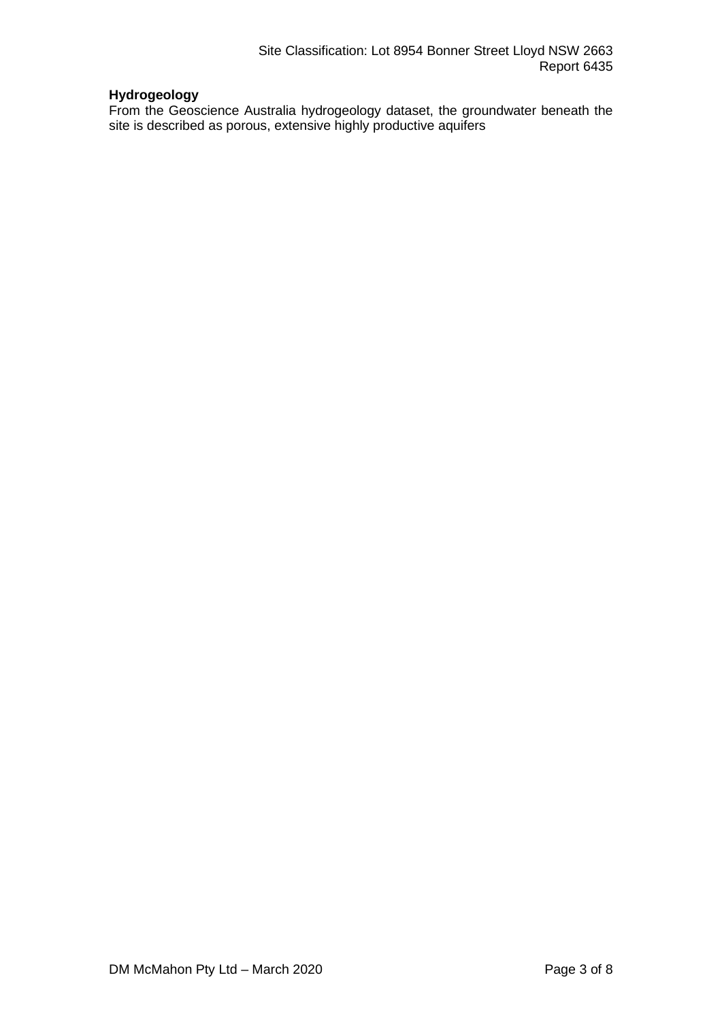# **Hydrogeology**

From the Geoscience Australia hydrogeology dataset, the groundwater beneath the site is described as porous, extensive highly productive aquifers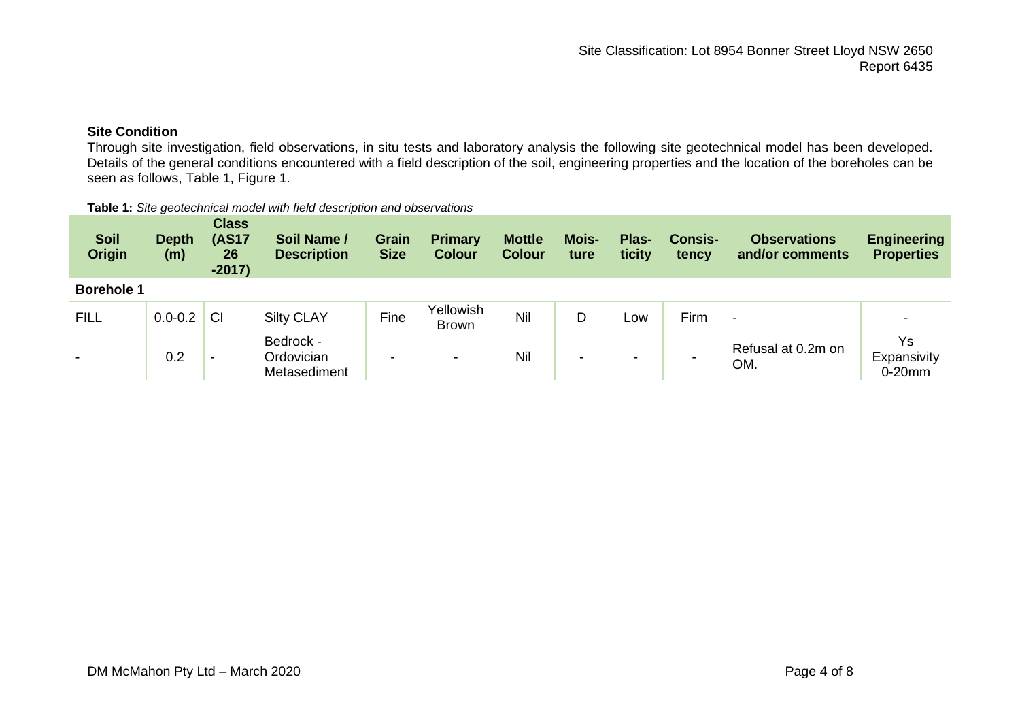# **Site Condition**

Through site investigation, field observations, in situ tests and laboratory analysis the following site geotechnical model has been developed. Details of the general conditions encountered with a field description of the soil, engineering properties and the location of the boreholes can be seen as follows, Table 1, Figure 1.

#### **Table 1:** *Site geotechnical model with field description and observations*

| <b>Soil</b><br><b>Origin</b> | <b>Depth</b><br>(m) | <b>Class</b><br><b>(AS17</b><br>26<br>$-2017)$ | Soil Name /<br><b>Description</b>       | <b>Grain</b><br><b>Size</b> | <b>Primary</b><br><b>Colour</b> | <b>Mottle</b><br><b>Colour</b> | <b>Mois-</b><br>ture | Plas-<br>ticity | <b>Consis-</b><br>tency | <b>Observations</b><br>and/or comments | <b>Engineering</b><br><b>Properties</b> |
|------------------------------|---------------------|------------------------------------------------|-----------------------------------------|-----------------------------|---------------------------------|--------------------------------|----------------------|-----------------|-------------------------|----------------------------------------|-----------------------------------------|
| <b>Borehole 1</b>            |                     |                                                |                                         |                             |                                 |                                |                      |                 |                         |                                        |                                         |
| <b>FILL</b>                  | $0.0 - 0.2$         | <b>CI</b>                                      | <b>Silty CLAY</b>                       | Fine                        | Yellowish<br><b>Brown</b>       | Nil                            | D                    | Low             | Firm                    | $\,$                                   |                                         |
| $\overline{\phantom{0}}$     | 0.2                 | -                                              | Bedrock -<br>Ordovician<br>Metasediment | $\overline{\phantom{0}}$    | $\overline{\phantom{a}}$        | Nil                            | -                    | -               | -                       | Refusal at 0.2m on<br>OM.              | Ys<br>Expansivity<br>$0-20$ mm          |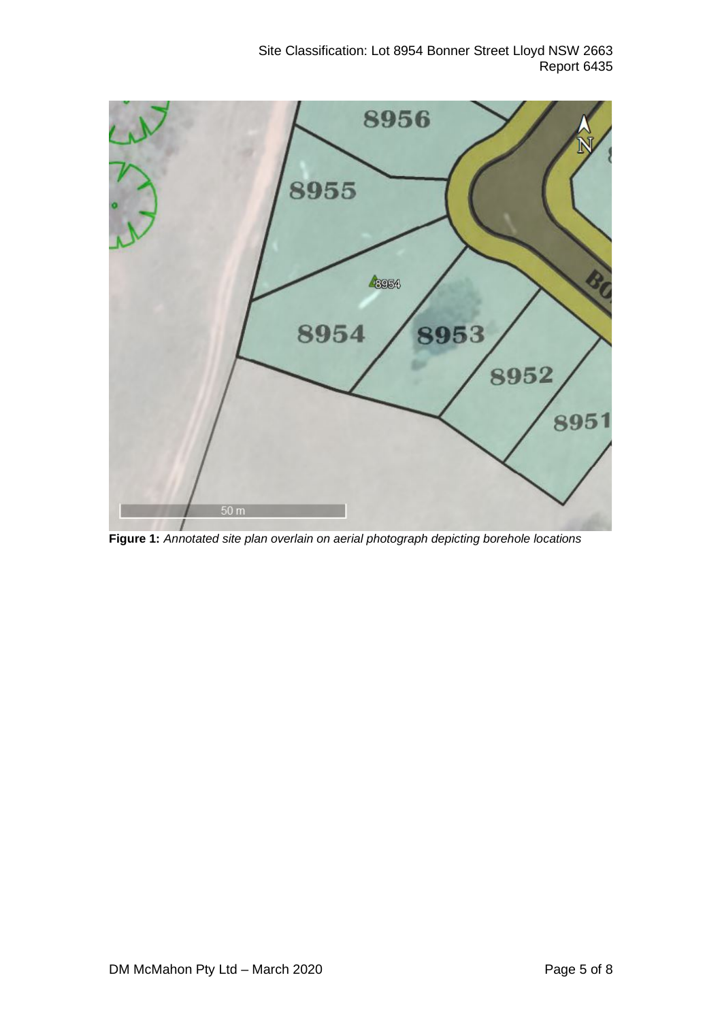Site Classification: Lot 8954 Bonner Street Lloyd NSW 2663 Report 6435



**Figure 1:** *Annotated site plan overlain on aerial photograph depicting borehole locations*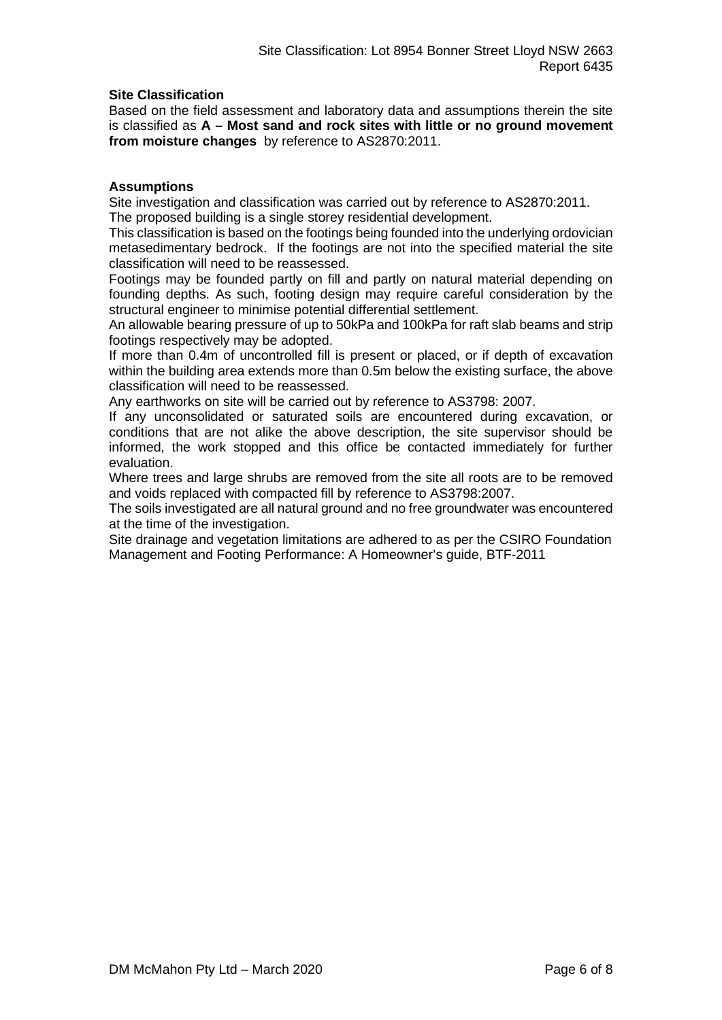# **Site Classification**

Based on the field assessment and laboratory data and assumptions therein the site is classified as **A – Most sand and rock sites with little or no ground movement from moisture changes** by reference to AS2870:2011.

### **Assumptions**

Site investigation and classification was carried out by reference to AS2870:2011. The proposed building is a single storey residential development.

This classification is based on the footings being founded into the underlying ordovician metasedimentary bedrock. If the footings are not into the specified material the site classification will need to be reassessed.

Footings may be founded partly on fill and partly on natural material depending on founding depths. As such, footing design may require careful consideration by the structural engineer to minimise potential differential settlement.

An allowable bearing pressure of up to 50kPa and 100kPa for raft slab beams and strip footings respectively may be adopted.

If more than 0.4m of uncontrolled fill is present or placed, or if depth of excavation within the building area extends more than 0.5m below the existing surface, the above classification will need to be reassessed.

Any earthworks on site will be carried out by reference to AS3798: 2007.

If any unconsolidated or saturated soils are encountered during excavation, or conditions that are not alike the above description, the site supervisor should be informed, the work stopped and this office be contacted immediately for further evaluation.

Where trees and large shrubs are removed from the site all roots are to be removed and voids replaced with compacted fill by reference to AS3798:2007.

The soils investigated are all natural ground and no free groundwater was encountered at the time of the investigation.

Site drainage and vegetation limitations are adhered to as per the CSIRO Foundation Management and Footing Performance: A Homeowner's guide, BTF-2011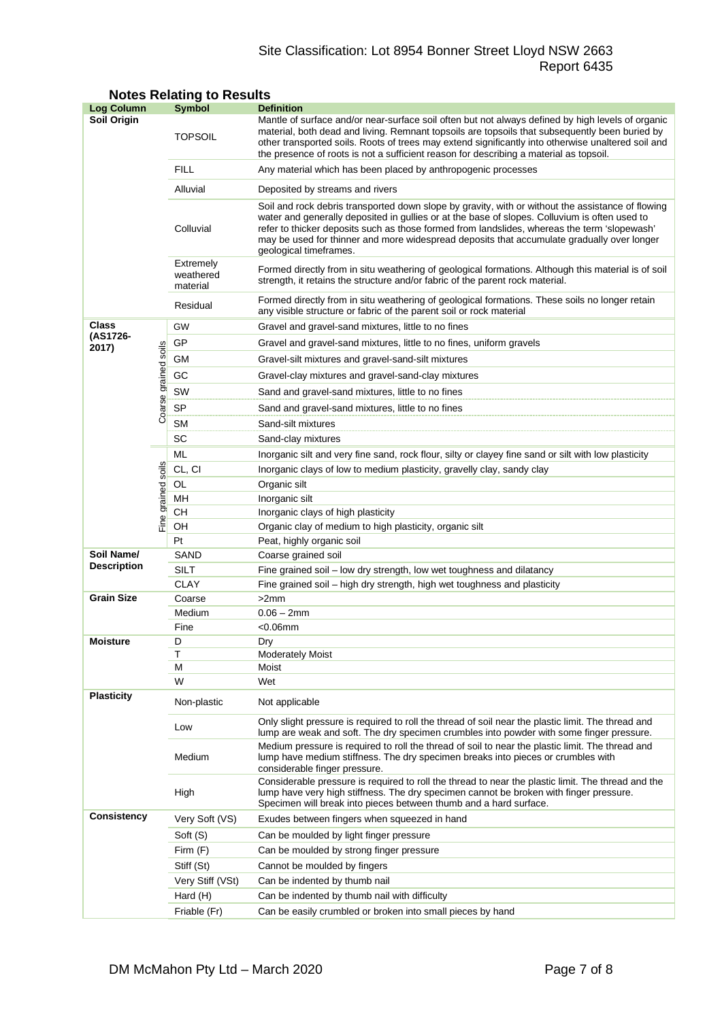# Site Classification: Lot 8954 Bonner Street Lloyd NSW 2663 Report 6435

| <b>Log Column</b>  |                      | <b>Symbol</b>                      | <b>Definition</b>                                                                                                                                                                                                                                                                                                                                                                                                          |  |  |  |
|--------------------|----------------------|------------------------------------|----------------------------------------------------------------------------------------------------------------------------------------------------------------------------------------------------------------------------------------------------------------------------------------------------------------------------------------------------------------------------------------------------------------------------|--|--|--|
| <b>Soil Origin</b> |                      | <b>TOPSOIL</b>                     | Mantle of surface and/or near-surface soil often but not always defined by high levels of organic<br>material, both dead and living. Remnant topsoils are topsoils that subsequently been buried by<br>other transported soils. Roots of trees may extend significantly into otherwise unaltered soil and<br>the presence of roots is not a sufficient reason for describing a material as topsoil.                        |  |  |  |
|                    |                      | <b>FILL</b>                        | Any material which has been placed by anthropogenic processes                                                                                                                                                                                                                                                                                                                                                              |  |  |  |
|                    |                      | Alluvial                           | Deposited by streams and rivers                                                                                                                                                                                                                                                                                                                                                                                            |  |  |  |
|                    |                      | Colluvial                          | Soil and rock debris transported down slope by gravity, with or without the assistance of flowing<br>water and generally deposited in gullies or at the base of slopes. Colluvium is often used to<br>refer to thicker deposits such as those formed from landslides, whereas the term 'slopewash'<br>may be used for thinner and more widespread deposits that accumulate gradually over longer<br>geological timeframes. |  |  |  |
|                    |                      | Extremely<br>weathered<br>material | Formed directly from in situ weathering of geological formations. Although this material is of soil<br>strength, it retains the structure and/or fabric of the parent rock material.                                                                                                                                                                                                                                       |  |  |  |
|                    |                      | Residual                           | Formed directly from in situ weathering of geological formations. These soils no longer retain<br>any visible structure or fabric of the parent soil or rock material                                                                                                                                                                                                                                                      |  |  |  |
| Class              |                      | GW                                 | Gravel and gravel-sand mixtures, little to no fines                                                                                                                                                                                                                                                                                                                                                                        |  |  |  |
| (AS1726-<br>2017)  |                      | GP                                 | Gravel and gravel-sand mixtures, little to no fines, uniform gravels                                                                                                                                                                                                                                                                                                                                                       |  |  |  |
|                    |                      | GМ                                 | Gravel-silt mixtures and gravel-sand-silt mixtures                                                                                                                                                                                                                                                                                                                                                                         |  |  |  |
|                    |                      | GC                                 | Gravel-clay mixtures and gravel-sand-clay mixtures                                                                                                                                                                                                                                                                                                                                                                         |  |  |  |
|                    |                      | SW                                 | Sand and gravel-sand mixtures, little to no fines                                                                                                                                                                                                                                                                                                                                                                          |  |  |  |
|                    | Coarse grained soils | <b>SP</b>                          | Sand and gravel-sand mixtures, little to no fines                                                                                                                                                                                                                                                                                                                                                                          |  |  |  |
|                    |                      | <b>SM</b>                          | Sand-silt mixtures                                                                                                                                                                                                                                                                                                                                                                                                         |  |  |  |
|                    |                      | SC                                 | Sand-clay mixtures                                                                                                                                                                                                                                                                                                                                                                                                         |  |  |  |
|                    |                      | ML                                 | Inorganic silt and very fine sand, rock flour, silty or clayey fine sand or silt with low plasticity                                                                                                                                                                                                                                                                                                                       |  |  |  |
|                    | soils                | CL, CI                             | Inorganic clays of low to medium plasticity, gravelly clay, sandy clay                                                                                                                                                                                                                                                                                                                                                     |  |  |  |
|                    |                      | OL                                 | Organic silt                                                                                                                                                                                                                                                                                                                                                                                                               |  |  |  |
|                    |                      | MН                                 | Inorganic silt                                                                                                                                                                                                                                                                                                                                                                                                             |  |  |  |
|                    | Fine grained         | CН                                 | Inorganic clays of high plasticity                                                                                                                                                                                                                                                                                                                                                                                         |  |  |  |
|                    |                      | OН                                 | Organic clay of medium to high plasticity, organic silt                                                                                                                                                                                                                                                                                                                                                                    |  |  |  |
|                    |                      | Pt                                 | Peat, highly organic soil                                                                                                                                                                                                                                                                                                                                                                                                  |  |  |  |
| Soil Name/         |                      | SAND                               | Coarse grained soil                                                                                                                                                                                                                                                                                                                                                                                                        |  |  |  |
| <b>Description</b> |                      | SILT                               | Fine grained soil - low dry strength, low wet toughness and dilatancy                                                                                                                                                                                                                                                                                                                                                      |  |  |  |
|                    |                      | <b>CLAY</b>                        | Fine grained soil – high dry strength, high wet toughness and plasticity                                                                                                                                                                                                                                                                                                                                                   |  |  |  |
| <b>Grain Size</b>  |                      | Coarse                             | >2mm                                                                                                                                                                                                                                                                                                                                                                                                                       |  |  |  |
|                    |                      | Medium                             | $0.06 - 2mm$                                                                                                                                                                                                                                                                                                                                                                                                               |  |  |  |
| <b>Moisture</b>    |                      | Fine<br>D                          | $<$ 0.06 $mm$                                                                                                                                                                                                                                                                                                                                                                                                              |  |  |  |
|                    |                      | Т                                  | Dry<br><b>Moderately Moist</b>                                                                                                                                                                                                                                                                                                                                                                                             |  |  |  |
|                    |                      | М                                  | Moist                                                                                                                                                                                                                                                                                                                                                                                                                      |  |  |  |
|                    |                      | W                                  | Wet                                                                                                                                                                                                                                                                                                                                                                                                                        |  |  |  |
| <b>Plasticity</b>  |                      | Non-plastic                        | Not applicable                                                                                                                                                                                                                                                                                                                                                                                                             |  |  |  |
|                    |                      | Low                                | Only slight pressure is required to roll the thread of soil near the plastic limit. The thread and<br>lump are weak and soft. The dry specimen crumbles into powder with some finger pressure.                                                                                                                                                                                                                             |  |  |  |
|                    |                      | Medium                             | Medium pressure is required to roll the thread of soil to near the plastic limit. The thread and<br>lump have medium stiffness. The dry specimen breaks into pieces or crumbles with<br>considerable finger pressure.                                                                                                                                                                                                      |  |  |  |
|                    |                      | High                               | Considerable pressure is required to roll the thread to near the plastic limit. The thread and the<br>lump have very high stiffness. The dry specimen cannot be broken with finger pressure.<br>Specimen will break into pieces between thumb and a hard surface.                                                                                                                                                          |  |  |  |
| <b>Consistency</b> |                      | Very Soft (VS)                     | Exudes between fingers when squeezed in hand                                                                                                                                                                                                                                                                                                                                                                               |  |  |  |
|                    |                      | Soft (S)                           | Can be moulded by light finger pressure                                                                                                                                                                                                                                                                                                                                                                                    |  |  |  |
|                    |                      | Firm (F)                           | Can be moulded by strong finger pressure                                                                                                                                                                                                                                                                                                                                                                                   |  |  |  |
|                    |                      | Stiff (St)                         | Cannot be moulded by fingers                                                                                                                                                                                                                                                                                                                                                                                               |  |  |  |
|                    |                      | Very Stiff (VSt)                   | Can be indented by thumb nail                                                                                                                                                                                                                                                                                                                                                                                              |  |  |  |
|                    |                      | Hard (H)                           | Can be indented by thumb nail with difficulty                                                                                                                                                                                                                                                                                                                                                                              |  |  |  |
|                    |                      | Friable (Fr)                       | Can be easily crumbled or broken into small pieces by hand                                                                                                                                                                                                                                                                                                                                                                 |  |  |  |

# **Notes Relating to Results**